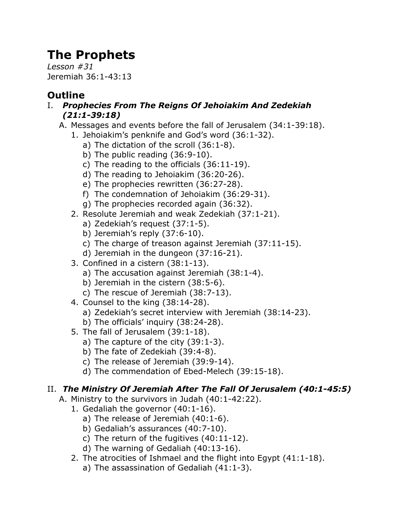# **The Prophets**

*Lesson #31* Jeremiah 36:1-43:13

## **Outline**

- I. *Prophecies From The Reigns Of Jehoiakim And Zedekiah (21:1-39:18)*
	- A. Messages and events before the fall of Jerusalem (34:1-39:18).
		- 1. Jehoiakim's penknife and God's word (36:1-32).
			- a) The dictation of the scroll (36:1-8).
			- b) The public reading (36:9-10).
			- c) The reading to the officials (36:11-19).
			- d) The reading to Jehoiakim (36:20-26).
			- e) The prophecies rewritten (36:27-28).
			- f) The condemnation of Jehoiakim (36:29-31).
			- g) The prophecies recorded again (36:32).
		- 2. Resolute Jeremiah and weak Zedekiah (37:1-21).
			- a) Zedekiah's request (37:1-5).
			- b) Jeremiah's reply (37:6-10).
			- c) The charge of treason against Jeremiah (37:11-15).
			- d) Jeremiah in the dungeon (37:16-21).
		- 3. Confined in a cistern (38:1-13).
			- a) The accusation against Jeremiah (38:1-4).
			- b) Jeremiah in the cistern (38:5-6).
			- c) The rescue of Jeremiah (38:7-13).
		- 4. Counsel to the king (38:14-28).
			- a) Zedekiah's secret interview with Jeremiah (38:14-23).
			- b) The officials' inquiry (38:24-28).
		- 5. The fall of Jerusalem (39:1-18).
			- a) The capture of the city (39:1-3).
			- b) The fate of Zedekiah (39:4-8).
			- c) The release of Jeremiah (39:9-14).
			- d) The commendation of Ebed-Melech (39:15-18).

### II. *The Ministry Of Jeremiah After The Fall Of Jerusalem (40:1-45:5)*

- A. Ministry to the survivors in Judah (40:1-42:22).
	- 1. Gedaliah the governor (40:1-16).
		- a) The release of Jeremiah (40:1-6).
		- b) Gedaliah's assurances (40:7-10).
		- c) The return of the fugitives (40:11-12).
		- d) The warning of Gedaliah (40:13-16).
	- 2. The atrocities of Ishmael and the flight into Egypt (41:1-18).
		- a) The assassination of Gedaliah (41:1-3).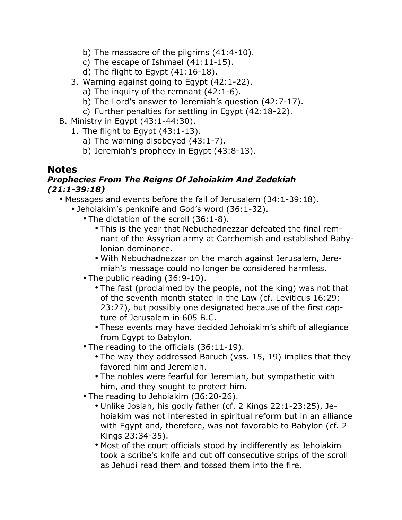- b) The massacre of the pilgrims (41:4-10).
- c) The escape of Ishmael (41:11-15).
- d) The flight to Egypt  $(41:16-18)$ .
- 3. Warning against going to Egypt (42:1-22).
	- a) The inquiry of the remnant (42:1-6).
	- b) The Lord's answer to Jeremiah's question (42:7-17).
	- c) Further penalties for settling in Egypt (42:18-22).
- B. Ministry in Egypt (43:1-44:30).
	- 1. The flight to Egypt (43:1-13).
		- a) The warning disobeyed (43:1-7).
		- b) Jeremiah's prophecy in Egypt (43:8-13).

#### **Notes**

#### *Prophecies From The Reigns Of Jehoiakim And Zedekiah (21:1-39:18)*

• Messages and events before the fall of Jerusalem (34:1-39:18).

- Jehoiakim's penknife and God's word (36:1-32).
	- The dictation of the scroll (36:1-8).
		- This is the year that Nebuchadnezzar defeated the final remnant of the Assyrian army at Carchemish and established Babylonian dominance.
		- With Nebuchadnezzar on the march against Jerusalem, Jeremiah's message could no longer be considered harmless.
	- The public reading (36:9-10).
		- The fast (proclaimed by the people, not the king) was not that of the seventh month stated in the Law (cf. Leviticus 16:29; 23:27), but possibly one designated because of the first capture of Jerusalem in 605 B.C.
		- These events may have decided Jehoiakim's shift of allegiance from Egypt to Babylon.
	- The reading to the officials (36:11-19).
		- The way they addressed Baruch (vss. 15, 19) implies that they favored him and Jeremiah.
		- The nobles were fearful for Jeremiah, but sympathetic with him, and they sought to protect him.
	- The reading to Jehoiakim (36:20-26).
		- Unlike Josiah, his godly father (cf. 2 Kings 22:1-23:25), Jehoiakim was not interested in spiritual reform but in an alliance with Egypt and, therefore, was not favorable to Babylon (cf. 2 Kings 23:34-35).
		- Most of the court officials stood by indifferently as Jehoiakim took a scribe's knife and cut off consecutive strips of the scroll as Jehudi read them and tossed them into the fire.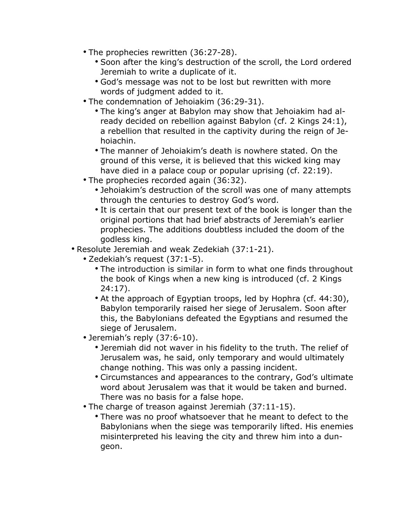- The prophecies rewritten (36:27-28).
	- Soon after the king's destruction of the scroll, the Lord ordered Jeremiah to write a duplicate of it.
	- God's message was not to be lost but rewritten with more words of judgment added to it.
- The condemnation of Jehoiakim (36:29-31).
	- The king's anger at Babylon may show that Jehoiakim had already decided on rebellion against Babylon (cf. 2 Kings 24:1), a rebellion that resulted in the captivity during the reign of Jehoiachin.
	- The manner of Jehoiakim's death is nowhere stated. On the ground of this verse, it is believed that this wicked king may have died in a palace coup or popular uprising (cf. 22:19).
- The prophecies recorded again (36:32).
	- Jehoiakim's destruction of the scroll was one of many attempts through the centuries to destroy God's word.
	- It is certain that our present text of the book is longer than the original portions that had brief abstracts of Jeremiah's earlier prophecies. The additions doubtless included the doom of the godless king.
- Resolute Jeremiah and weak Zedekiah (37:1-21).
	- Zedekiah's request (37:1-5).
		- The introduction is similar in form to what one finds throughout the book of Kings when a new king is introduced (cf. 2 Kings 24:17).
		- At the approach of Egyptian troops, led by Hophra (cf. 44:30), Babylon temporarily raised her siege of Jerusalem. Soon after this, the Babylonians defeated the Egyptians and resumed the siege of Jerusalem.
	- Jeremiah's reply (37:6-10).
		- Jeremiah did not waver in his fidelity to the truth. The relief of Jerusalem was, he said, only temporary and would ultimately change nothing. This was only a passing incident.
		- Circumstances and appearances to the contrary, God's ultimate word about Jerusalem was that it would be taken and burned. There was no basis for a false hope.
	- The charge of treason against Jeremiah (37:11-15).
		- There was no proof whatsoever that he meant to defect to the Babylonians when the siege was temporarily lifted. His enemies misinterpreted his leaving the city and threw him into a dungeon.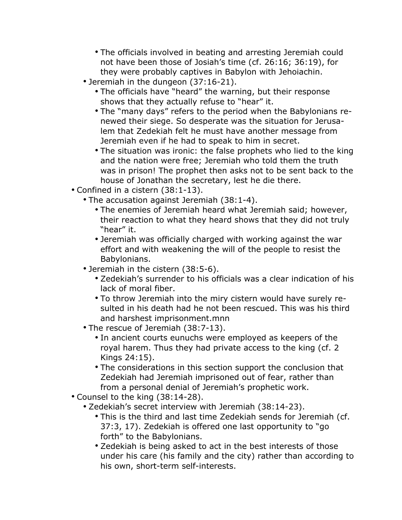- The officials involved in beating and arresting Jeremiah could not have been those of Josiah's time (cf. 26:16; 36:19), for they were probably captives in Babylon with Jehoiachin.
- Jeremiah in the dungeon (37:16-21).
	- The officials have "heard" the warning, but their response shows that they actually refuse to "hear" it.
	- The "many days" refers to the period when the Babylonians renewed their siege. So desperate was the situation for Jerusalem that Zedekiah felt he must have another message from Jeremiah even if he had to speak to him in secret.
	- The situation was ironic: the false prophets who lied to the king and the nation were free; Jeremiah who told them the truth was in prison! The prophet then asks not to be sent back to the house of Jonathan the secretary, lest he die there.
- Confined in a cistern (38:1-13).
	- The accusation against Jeremiah (38:1-4).
		- The enemies of Jeremiah heard what Jeremiah said; however, their reaction to what they heard shows that they did not truly "hear" it.
		- Jeremiah was officially charged with working against the war effort and with weakening the will of the people to resist the Babylonians.
	- Jeremiah in the cistern (38:5-6).
		- Zedekiah's surrender to his officials was a clear indication of his lack of moral fiber.
		- To throw Jeremiah into the miry cistern would have surely resulted in his death had he not been rescued. This was his third and harshest imprisonment.mnn
	- The rescue of Jeremiah (38:7-13).
		- In ancient courts eunuchs were employed as keepers of the royal harem. Thus they had private access to the king (cf. 2 Kings 24:15).
		- The considerations in this section support the conclusion that Zedekiah had Jeremiah imprisoned out of fear, rather than from a personal denial of Jeremiah's prophetic work.
- Counsel to the king (38:14-28).
	- Zedekiah's secret interview with Jeremiah (38:14-23).
		- This is the third and last time Zedekiah sends for Jeremiah (cf. 37:3, 17). Zedekiah is offered one last opportunity to "go forth" to the Babylonians.
		- Zedekiah is being asked to act in the best interests of those under his care (his family and the city) rather than according to his own, short-term self-interests.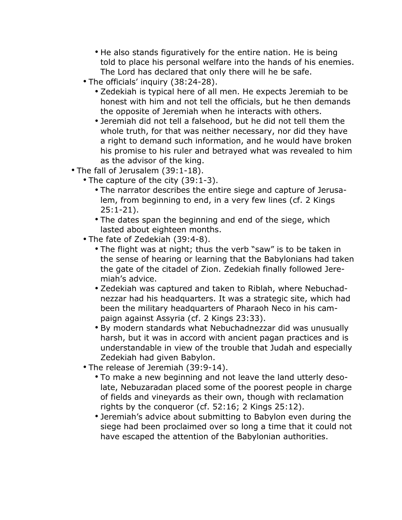- He also stands figuratively for the entire nation. He is being told to place his personal welfare into the hands of his enemies. The Lord has declared that only there will he be safe.
- The officials' inquiry (38:24-28).
	- Zedekiah is typical here of all men. He expects Jeremiah to be honest with him and not tell the officials, but he then demands the opposite of Jeremiah when he interacts with others.
	- Jeremiah did not tell a falsehood, but he did not tell them the whole truth, for that was neither necessary, nor did they have a right to demand such information, and he would have broken his promise to his ruler and betrayed what was revealed to him as the advisor of the king.
- The fall of Jerusalem (39:1-18).
	- The capture of the city (39:1-3).
		- The narrator describes the entire siege and capture of Jerusalem, from beginning to end, in a very few lines (cf. 2 Kings 25:1-21).
		- The dates span the beginning and end of the siege, which lasted about eighteen months.
	- The fate of Zedekiah (39:4-8).
		- The flight was at night; thus the verb "saw" is to be taken in the sense of hearing or learning that the Babylonians had taken the gate of the citadel of Zion. Zedekiah finally followed Jeremiah's advice.
		- Zedekiah was captured and taken to Riblah, where Nebuchadnezzar had his headquarters. It was a strategic site, which had been the military headquarters of Pharaoh Neco in his campaign against Assyria (cf. 2 Kings 23:33).
		- By modern standards what Nebuchadnezzar did was unusually harsh, but it was in accord with ancient pagan practices and is understandable in view of the trouble that Judah and especially Zedekiah had given Babylon.
	- The release of Jeremiah (39:9-14).
		- To make a new beginning and not leave the land utterly desolate, Nebuzaradan placed some of the poorest people in charge of fields and vineyards as their own, though with reclamation rights by the conqueror (cf. 52:16; 2 Kings 25:12).
		- Jeremiah's advice about submitting to Babylon even during the siege had been proclaimed over so long a time that it could not have escaped the attention of the Babylonian authorities.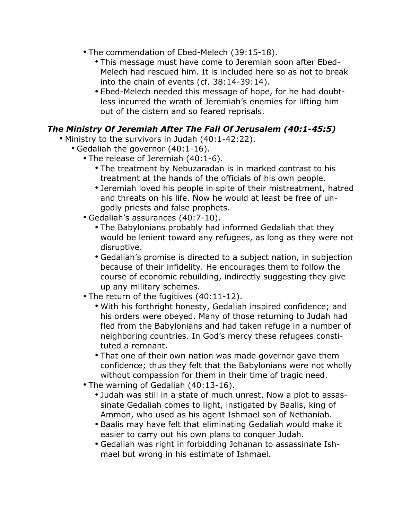- The commendation of Ebed-Melech (39:15-18).
	- This message must have come to Jeremiah soon after Ebed-Melech had rescued him. It is included here so as not to break into the chain of events (cf. 38:14-39:14).
	- Ebed-Melech needed this message of hope, for he had doubtless incurred the wrath of Jeremiah's enemies for lifting him out of the cistern and so feared reprisals.

#### *The Ministry Of Jeremiah After The Fall Of Jerusalem (40:1-45:5)*

- Ministry to the survivors in Judah (40:1-42:22).
	- Gedaliah the governor (40:1-16).
		- The release of Jeremiah (40:1-6).
			- The treatment by Nebuzaradan is in marked contrast to his treatment at the hands of the officials of his own people.
			- Jeremiah loved his people in spite of their mistreatment, hatred and threats on his life. Now he would at least be free of ungodly priests and false prophets.
		- Gedaliah's assurances (40:7-10).
			- The Babylonians probably had informed Gedaliah that they would be lenient toward any refugees, as long as they were not disruptive.
			- Gedaliah's promise is directed to a subject nation, in subjection because of their infidelity. He encourages them to follow the course of economic rebuilding, indirectly suggesting they give up any military schemes.
		- The return of the fugitives (40:11-12).
			- With his forthright honesty, Gedaliah inspired confidence; and his orders were obeyed. Many of those returning to Judah had fled from the Babylonians and had taken refuge in a number of neighboring countries. In God's mercy these refugees constituted a remnant.
			- That one of their own nation was made governor gave them confidence; thus they felt that the Babylonians were not wholly without compassion for them in their time of tragic need.
		- The warning of Gedaliah (40:13-16).
			- Judah was still in a state of much unrest. Now a plot to assassinate Gedaliah comes to light, instigated by Baalis, king of Ammon, who used as his agent Ishmael son of Nethaniah.
			- Baalis may have felt that eliminating Gedaliah would make it easier to carry out his own plans to conquer Judah.
			- Gedaliah was right in forbidding Johanan to assassinate Ishmael but wrong in his estimate of Ishmael.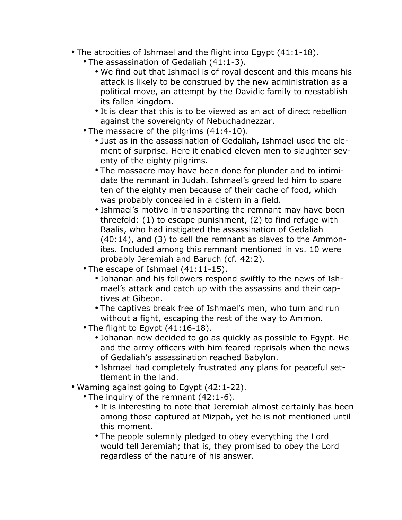- The atrocities of Ishmael and the flight into Egypt (41:1-18).
	- The assassination of Gedaliah (41:1-3).
		- We find out that Ishmael is of royal descent and this means his attack is likely to be construed by the new administration as a political move, an attempt by the Davidic family to reestablish its fallen kingdom.
		- It is clear that this is to be viewed as an act of direct rebellion against the sovereignty of Nebuchadnezzar.
	- The massacre of the pilgrims (41:4-10).
		- Just as in the assassination of Gedaliah, Ishmael used the element of surprise. Here it enabled eleven men to slaughter seventy of the eighty pilgrims.
		- The massacre may have been done for plunder and to intimidate the remnant in Judah. Ishmael's greed led him to spare ten of the eighty men because of their cache of food, which was probably concealed in a cistern in a field.
		- Ishmael's motive in transporting the remnant may have been threefold: (1) to escape punishment, (2) to find refuge with Baalis, who had instigated the assassination of Gedaliah (40:14), and (3) to sell the remnant as slaves to the Ammonites. Included among this remnant mentioned in vs. 10 were probably Jeremiah and Baruch (cf. 42:2).
	- The escape of Ishmael (41:11-15).
		- Johanan and his followers respond swiftly to the news of Ishmael's attack and catch up with the assassins and their captives at Gibeon.
		- The captives break free of Ishmael's men, who turn and run without a fight, escaping the rest of the way to Ammon.
	- The flight to Egypt (41:16-18).
		- Johanan now decided to go as quickly as possible to Egypt. He and the army officers with him feared reprisals when the news of Gedaliah's assassination reached Babylon.
		- Ishmael had completely frustrated any plans for peaceful settlement in the land.
- Warning against going to Egypt (42:1-22).
	- The inquiry of the remnant (42:1-6).
		- It is interesting to note that Jeremiah almost certainly has been among those captured at Mizpah, yet he is not mentioned until this moment.
		- The people solemnly pledged to obey everything the Lord would tell Jeremiah; that is, they promised to obey the Lord regardless of the nature of his answer.